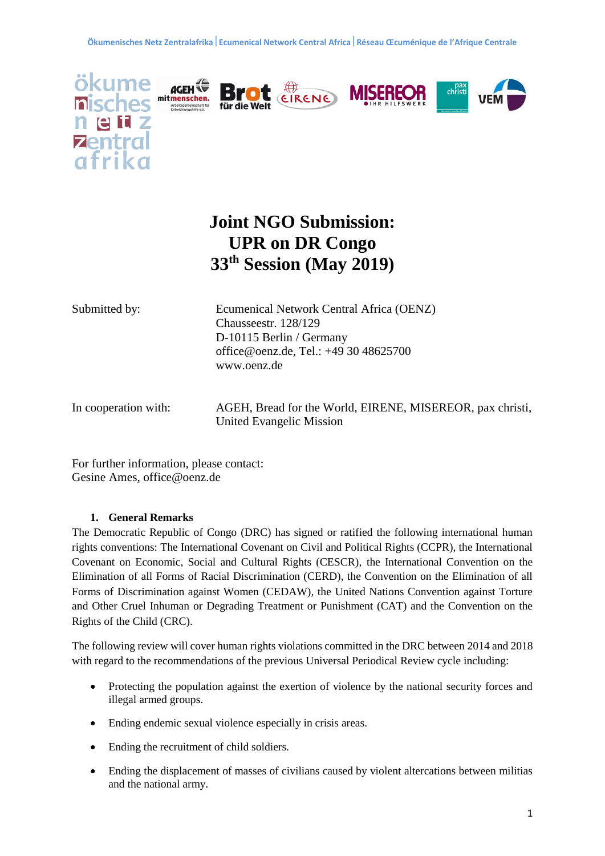











# **Joint NGO Submission: UPR on DR Congo 33th Session (May 2019)**

Submitted by: Ecumenical Network Central Africa (OENZ) Chausseestr. 128/129 D-10115 Berlin / Germany office@oenz.de, Tel.: +49 30 48625700 [www.oenz.de](http://www.oenz.de/)

In cooperation with: AGEH, Bread for the World, EIRENE, MISEREOR, pax christi, United Evangelic Mission

For further information, please contact: Gesine Ames, office@oenz.de

# **1. General Remarks**

The Democratic Republic of Congo (DRC) has signed or ratified the following international human rights conventions: The International Covenant on Civil and Political Rights (CCPR), the International Covenant on Economic, Social and Cultural Rights (CESCR), the International Convention on the Elimination of all Forms of Racial Discrimination (CERD), the Convention on the Elimination of all Forms of Discrimination against Women (CEDAW), the United Nations Convention against Torture and Other Cruel Inhuman or Degrading Treatment or Punishment (CAT) and the Convention on the Rights of the Child (CRC).

The following review will cover human rights violations committed in the DRC between 2014 and 2018 with regard to the recommendations of the previous Universal Periodical Review cycle including:

- Protecting the population against the exertion of violence by the national security forces and illegal armed groups.
- Ending endemic sexual violence especially in crisis areas.
- Ending the recruitment of child soldiers.
- Ending the displacement of masses of civilians caused by violent altercations between militias and the national army.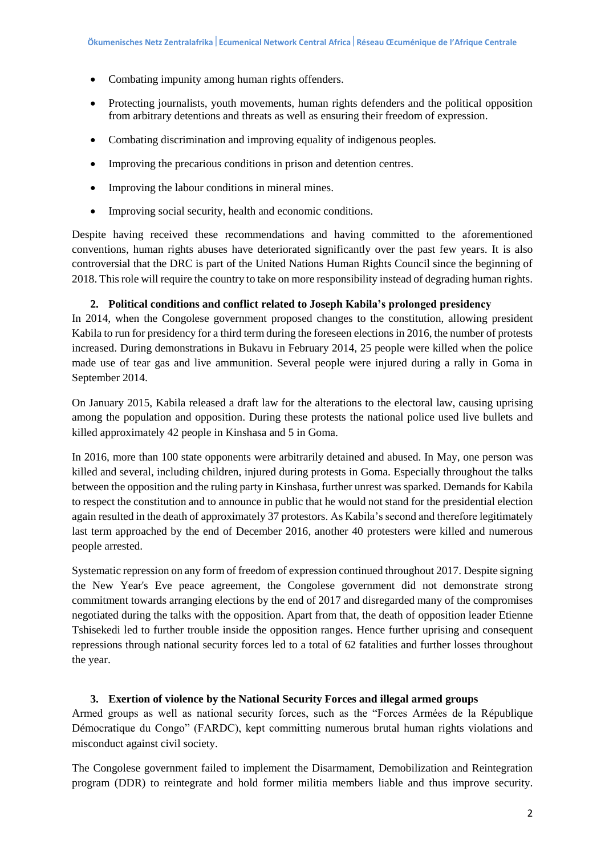- Combating impunity among human rights offenders.
- Protecting journalists, youth movements, human rights defenders and the political opposition from arbitrary detentions and threats as well as ensuring their freedom of expression.
- Combating discrimination and improving equality of indigenous peoples.
- Improving the precarious conditions in prison and detention centres.
- Improving the labour conditions in mineral mines.
- Improving social security, health and economic conditions.

Despite having received these recommendations and having committed to the aforementioned conventions, human rights abuses have deteriorated significantly over the past few years. It is also controversial that the DRC is part of the United Nations Human Rights Council since the beginning of 2018. This role will require the country to take on more responsibility instead of degrading human rights.

## **2. Political conditions and conflict related to Joseph Kabila's prolonged presidency**

In 2014, when the Congolese government proposed changes to the constitution, allowing president Kabila to run for presidency for a third term during the foreseen elections in 2016, the number of protests increased. During demonstrations in Bukavu in February 2014, 25 people were killed when the police made use of tear gas and live ammunition. Several people were injured during a rally in Goma in September 2014.

On January 2015, Kabila released a draft law for the alterations to the electoral law, causing uprising among the population and opposition. During these protests the national police used live bullets and killed approximately 42 people in Kinshasa and 5 in Goma.

In 2016, more than 100 state opponents were arbitrarily detained and abused. In May, one person was killed and several, including children, injured during protests in Goma. Especially throughout the talks between the opposition and the ruling party in Kinshasa, further unrest was sparked. Demands for Kabila to respect the constitution and to announce in public that he would not stand for the presidential election again resulted in the death of approximately 37 protestors. As Kabila's second and therefore legitimately last term approached by the end of December 2016, another 40 protesters were killed and numerous people arrested.

Systematic repression on any form of freedom of expression continued throughout 2017. Despite signing the New Year's Eve peace agreement, the Congolese government did not demonstrate strong commitment towards arranging elections by the end of 2017 and disregarded many of the compromises negotiated during the talks with the opposition. Apart from that, the death of opposition leader Etienne Tshisekedi led to further trouble inside the opposition ranges. Hence further uprising and consequent repressions through national security forces led to a total of 62 fatalities and further losses throughout the year.

### **3. Exertion of violence by the National Security Forces and illegal armed groups**

Armed groups as well as national security forces, such as the "Forces Armées de la République Démocratique du Congo" (FARDC), kept committing numerous brutal human rights violations and misconduct against civil society.

The Congolese government failed to implement the Disarmament, Demobilization and Reintegration program (DDR) to reintegrate and hold former militia members liable and thus improve security.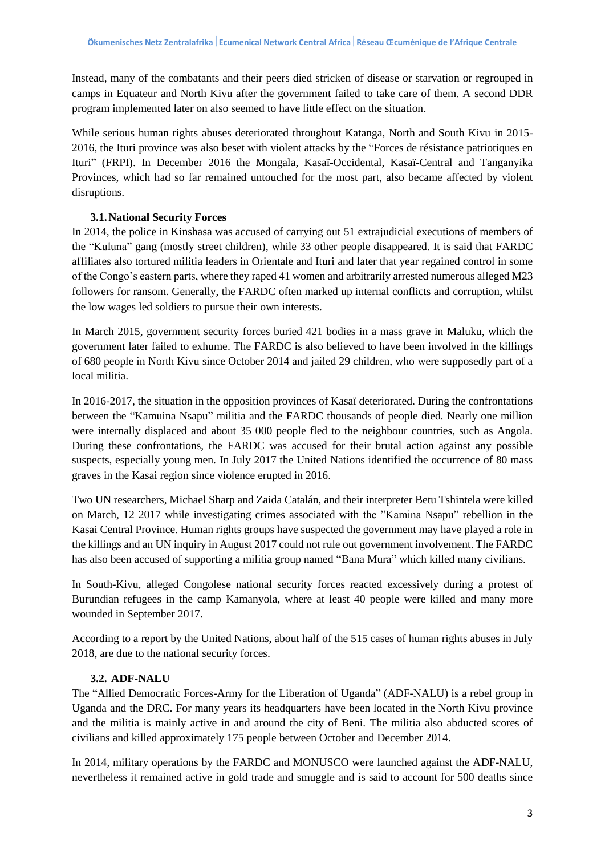Instead, many of the combatants and their peers died stricken of disease or starvation or regrouped in camps in Equateur and North Kivu after the government failed to take care of them. A second DDR program implemented later on also seemed to have little effect on the situation.

While serious human rights abuses deteriorated throughout Katanga, North and South Kivu in 2015- 2016, the Ituri province was also beset with violent attacks by the "Forces de résistance patriotiques en Ituri" (FRPI). In December 2016 the Mongala, Kasaï-Occidental, Kasaï-Central and Tanganyika Provinces, which had so far remained untouched for the most part, also became affected by violent disruptions.

## **3.1.National Security Forces**

In 2014, the police in Kinshasa was accused of carrying out 51 extrajudicial executions of members of the "Kuluna" gang (mostly street children), while 33 other people disappeared. It is said that FARDC affiliates also tortured militia leaders in Orientale and Ituri and later that year regained control in some of the Congo's eastern parts, where they raped 41 women and arbitrarily arrested numerous alleged M23 followers for ransom. Generally, the FARDC often marked up internal conflicts and corruption, whilst the low wages led soldiers to pursue their own interests.

In March 2015, government security forces buried 421 bodies in a mass grave in Maluku, which the government later failed to exhume. The FARDC is also believed to have been involved in the killings of 680 people in North Kivu since October 2014 and jailed 29 children, who were supposedly part of a local militia.

In 2016-2017, the situation in the opposition provinces of Kasaï deteriorated. During the confrontations between the "Kamuina Nsapu" militia and the FARDC thousands of people died. Nearly one million were internally displaced and about 35 000 people fled to the neighbour countries, such as Angola. During these confrontations, the FARDC was accused for their brutal action against any possible suspects, especially young men. In July 2017 the United Nations identified the occurrence of 80 mass graves in the Kasai region since violence erupted in 2016.

Two UN researchers, Michael Sharp and Zaida Catalán, and their interpreter Betu Tshintela were killed on March, 12 2017 while investigating crimes associated with the "Kamina Nsapu" rebellion in the Kasai Central Province. Human rights groups have suspected the government may have played a role in the killings and an UN inquiry in August 2017 could not rule out government involvement. The FARDC has also been accused of supporting a militia group named "Bana Mura" which killed many civilians.

In South-Kivu, alleged Congolese national security forces reacted excessively during a protest of Burundian refugees in the camp Kamanyola, where at least 40 people were killed and many more wounded in September 2017.

According to a report by the United Nations, about half of the 515 cases of human rights abuses in July 2018, are due to the national security forces.

# **3.2. ADF-NALU**

The "Allied Democratic Forces-Army for the Liberation of Uganda" (ADF-NALU) is a rebel group in Uganda and the DRC. For many years its headquarters have been located in the North Kivu province and the militia is mainly active in and around the city of Beni. The militia also abducted scores of civilians and killed approximately 175 people between October and December 2014.

In 2014, military operations by the FARDC and MONUSCO were launched against the ADF-NALU, nevertheless it remained active in gold trade and smuggle and is said to account for 500 deaths since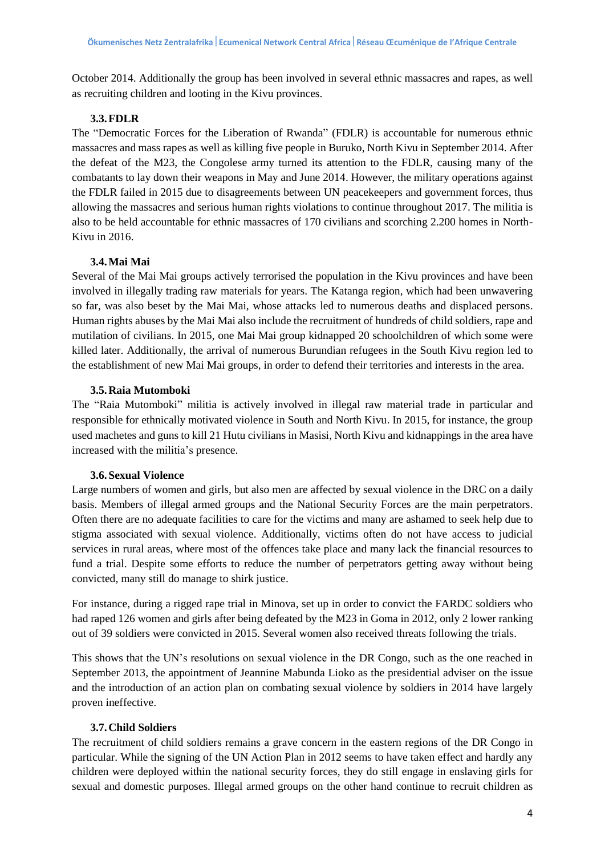October 2014. Additionally the group has been involved in several ethnic massacres and rapes, as well as recruiting children and looting in the Kivu provinces.

## **3.3.FDLR**

The "Democratic Forces for the Liberation of Rwanda" (FDLR) is accountable for numerous ethnic massacres and mass rapes as well as killing five people in Buruko, North Kivu in September 2014. After the defeat of the M23, the Congolese army turned its attention to the FDLR, causing many of the combatants to lay down their weapons in May and June 2014. However, the military operations against the FDLR failed in 2015 due to disagreements between UN peacekeepers and government forces, thus allowing the massacres and serious human rights violations to continue throughout 2017. The militia is also to be held accountable for ethnic massacres of 170 civilians and scorching 2.200 homes in North-Kivu in 2016.

# **3.4.Mai Mai**

Several of the Mai Mai groups actively terrorised the population in the Kivu provinces and have been involved in illegally trading raw materials for years. The Katanga region, which had been unwavering so far, was also beset by the Mai Mai, whose attacks led to numerous deaths and displaced persons. Human rights abuses by the Mai Mai also include the recruitment of hundreds of child soldiers, rape and mutilation of civilians. In 2015, one Mai Mai group kidnapped 20 schoolchildren of which some were killed later. Additionally, the arrival of numerous Burundian refugees in the South Kivu region led to the establishment of new Mai Mai groups, in order to defend their territories and interests in the area.

## **3.5.Raia Mutomboki**

The "Raia Mutomboki" militia is actively involved in illegal raw material trade in particular and responsible for ethnically motivated violence in South and North Kivu. In 2015, for instance, the group used machetes and guns to kill 21 Hutu civilians in Masisi, North Kivu and kidnappings in the area have increased with the militia's presence.

# **3.6.Sexual Violence**

Large numbers of women and girls, but also men are affected by sexual violence in the DRC on a daily basis. Members of illegal armed groups and the National Security Forces are the main perpetrators. Often there are no adequate facilities to care for the victims and many are ashamed to seek help due to stigma associated with sexual violence. Additionally, victims often do not have access to judicial services in rural areas, where most of the offences take place and many lack the financial resources to fund a trial. Despite some efforts to reduce the number of perpetrators getting away without being convicted, many still do manage to shirk justice.

For instance, during a rigged rape trial in Minova, set up in order to convict the FARDC soldiers who had raped 126 women and girls after being defeated by the M23 in Goma in 2012, only 2 lower ranking out of 39 soldiers were convicted in 2015. Several women also received threats following the trials.

This shows that the UN's resolutions on sexual violence in the DR Congo, such as the one reached in September 2013, the appointment of Jeannine Mabunda Lioko as the presidential adviser on the issue and the introduction of an action plan on combating sexual violence by soldiers in 2014 have largely proven ineffective.

# **3.7.Child Soldiers**

The recruitment of child soldiers remains a grave concern in the eastern regions of the DR Congo in particular. While the signing of the UN Action Plan in 2012 seems to have taken effect and hardly any children were deployed within the national security forces, they do still engage in enslaving girls for sexual and domestic purposes. Illegal armed groups on the other hand continue to recruit children as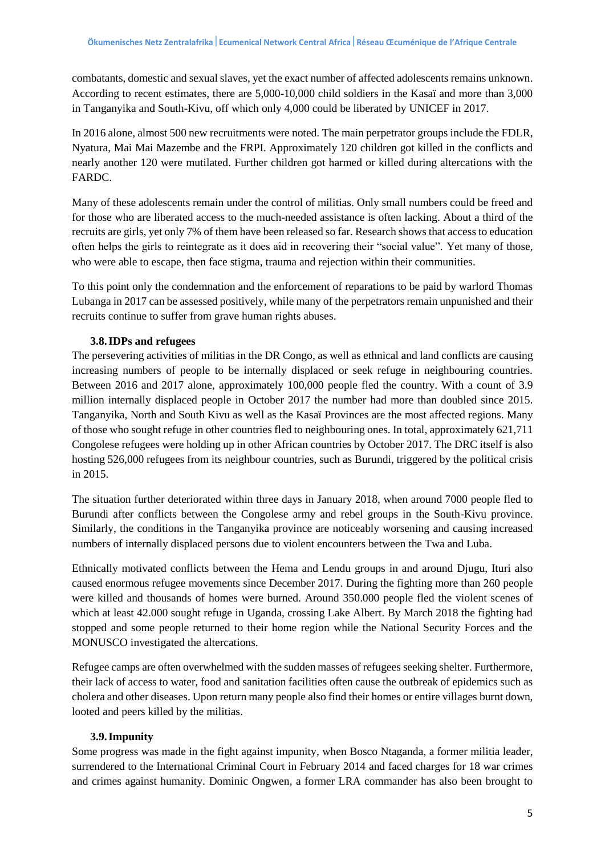combatants, domestic and sexual slaves, yet the exact number of affected adolescents remains unknown. According to recent estimates, there are 5,000-10,000 child soldiers in the Kasaï and more than 3,000 in Tanganyika and South-Kivu, off which only 4,000 could be liberated by UNICEF in 2017.

In 2016 alone, almost 500 new recruitments were noted. The main perpetrator groups include the FDLR, Nyatura, Mai Mai Mazembe and the FRPI. Approximately 120 children got killed in the conflicts and nearly another 120 were mutilated. Further children got harmed or killed during altercations with the FARDC.

Many of these adolescents remain under the control of militias. Only small numbers could be freed and for those who are liberated access to the much-needed assistance is often lacking. About a third of the recruits are girls, yet only 7% of them have been released so far. Research shows that access to education often helps the girls to reintegrate as it does aid in recovering their "social value". Yet many of those, who were able to escape, then face stigma, trauma and rejection within their communities.

To this point only the condemnation and the enforcement of reparations to be paid by warlord Thomas Lubanga in 2017 can be assessed positively, while many of the perpetrators remain unpunished and their recruits continue to suffer from grave human rights abuses.

### **3.8.IDPs and refugees**

The persevering activities of militias in the DR Congo, as well as ethnical and land conflicts are causing increasing numbers of people to be internally displaced or seek refuge in neighbouring countries. Between 2016 and 2017 alone, approximately 100,000 people fled the country. With a count of 3.9 million internally displaced people in October 2017 the number had more than doubled since 2015. Tanganyika, North and South Kivu as well as the Kasaï Provinces are the most affected regions. Many of those who sought refuge in other countries fled to neighbouring ones. In total, approximately 621,711 Congolese refugees were holding up in other African countries by October 2017. The DRC itself is also hosting 526,000 refugees from its neighbour countries, such as Burundi, triggered by the political crisis in 2015.

The situation further deteriorated within three days in January 2018, when around 7000 people fled to Burundi after conflicts between the Congolese army and rebel groups in the South-Kivu province. Similarly, the conditions in the Tanganyika province are noticeably worsening and causing increased numbers of internally displaced persons due to violent encounters between the Twa and Luba.

Ethnically motivated conflicts between the Hema and Lendu groups in and around Djugu, Ituri also caused enormous refugee movements since December 2017. During the fighting more than 260 people were killed and thousands of homes were burned. Around 350.000 people fled the violent scenes of which at least 42.000 sought refuge in Uganda, crossing Lake Albert. By March 2018 the fighting had stopped and some people returned to their home region while the National Security Forces and the MONUSCO investigated the altercations.

Refugee camps are often overwhelmed with the sudden masses of refugees seeking shelter. Furthermore, their lack of access to water, food and sanitation facilities often cause the outbreak of epidemics such as cholera and other diseases. Upon return many people also find their homes or entire villages burnt down, looted and peers killed by the militias.

#### **3.9.Impunity**

Some progress was made in the fight against impunity, when Bosco Ntaganda, a former militia leader, surrendered to the International Criminal Court in February 2014 and faced charges for 18 war crimes and crimes against humanity. Dominic Ongwen, a former LRA commander has also been brought to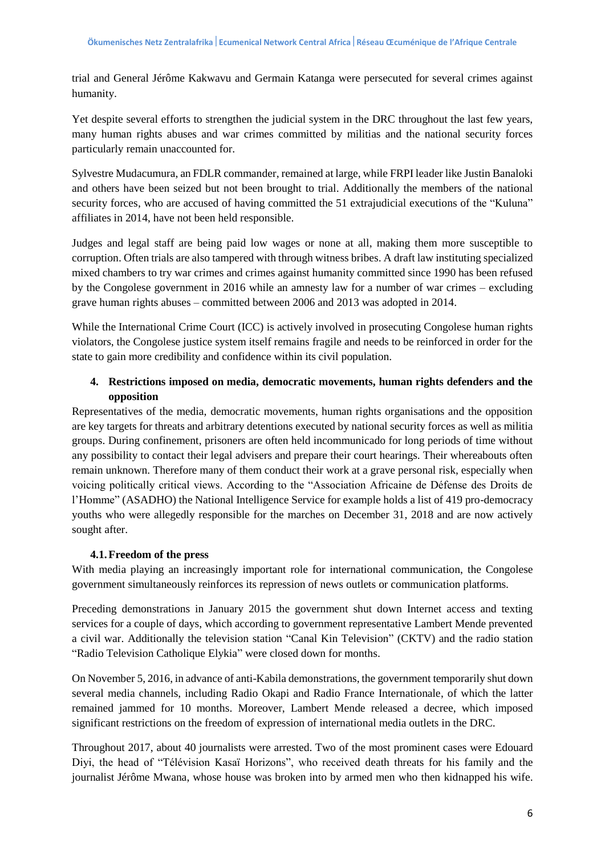trial and General Jérôme Kakwavu and Germain Katanga were persecuted for several crimes against humanity.

Yet despite several efforts to strengthen the judicial system in the DRC throughout the last few years, many human rights abuses and war crimes committed by militias and the national security forces particularly remain unaccounted for.

Sylvestre Mudacumura, an FDLR commander, remained at large, while FRPI leader like Justin Banaloki and others have been seized but not been brought to trial. Additionally the members of the national security forces, who are accused of having committed the 51 extrajudicial executions of the "Kuluna" affiliates in 2014, have not been held responsible.

Judges and legal staff are being paid low wages or none at all, making them more susceptible to corruption. Often trials are also tampered with through witness bribes. A draft law instituting specialized mixed chambers to try war crimes and crimes against humanity committed since 1990 has been refused by the Congolese government in 2016 while an amnesty law for a number of war crimes – excluding grave human rights abuses – committed between 2006 and 2013 was adopted in 2014.

While the International Crime Court (ICC) is actively involved in prosecuting Congolese human rights violators, the Congolese justice system itself remains fragile and needs to be reinforced in order for the state to gain more credibility and confidence within its civil population.

# **4. Restrictions imposed on media, democratic movements, human rights defenders and the opposition**

Representatives of the media, democratic movements, human rights organisations and the opposition are key targets for threats and arbitrary detentions executed by national security forces as well as militia groups. During confinement, prisoners are often held incommunicado for long periods of time without any possibility to contact their legal advisers and prepare their court hearings. Their whereabouts often remain unknown. Therefore many of them conduct their work at a grave personal risk, especially when voicing politically critical views. According to the "Association Africaine de Défense des Droits de l'Homme" (ASADHO) the National Intelligence Service for example holds a list of 419 pro-democracy youths who were allegedly responsible for the marches on December 31, 2018 and are now actively sought after.

### **4.1.Freedom of the press**

With media playing an increasingly important role for international communication, the Congolese government simultaneously reinforces its repression of news outlets or communication platforms.

Preceding demonstrations in January 2015 the government shut down Internet access and texting services for a couple of days, which according to government representative Lambert Mende prevented a civil war. Additionally the television station "Canal Kin Television" (CKTV) and the radio station "Radio Television Catholique Elykia" were closed down for months.

On November 5, 2016, in advance of anti-Kabila demonstrations, the government temporarily shut down several media channels, including Radio Okapi and Radio France Internationale, of which the latter remained jammed for 10 months. Moreover, Lambert Mende released a decree, which imposed significant restrictions on the freedom of expression of international media outlets in the DRC.

Throughout 2017, about 40 journalists were arrested. Two of the most prominent cases were Edouard Diyi, the head of "Télévision Kasaï Horizons", who received death threats for his family and the journalist Jérôme Mwana, whose house was broken into by armed men who then kidnapped his wife.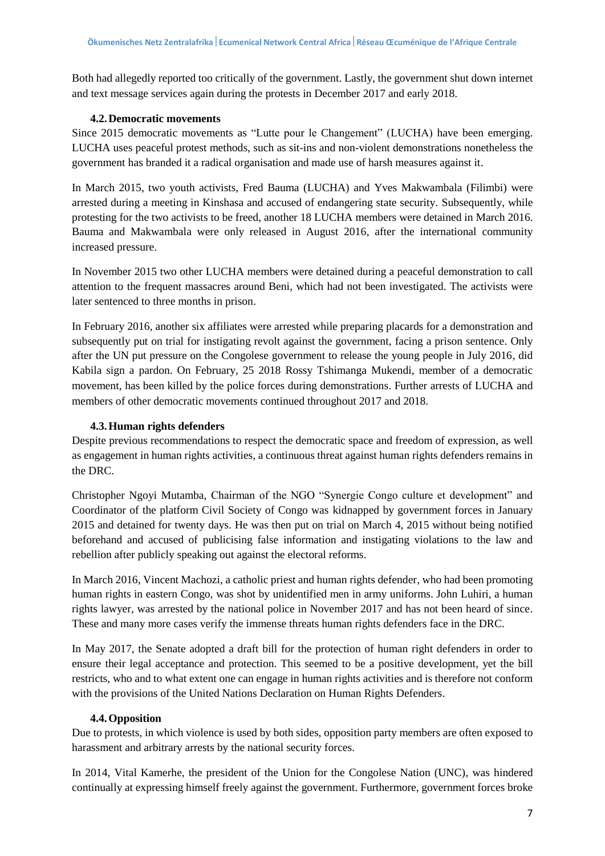Both had allegedly reported too critically of the government. Lastly, the government shut down internet and text message services again during the protests in December 2017 and early 2018.

## **4.2.Democratic movements**

Since 2015 democratic movements as "Lutte pour le Changement" (LUCHA) have been emerging. LUCHA uses peaceful protest methods, such as sit-ins and non-violent demonstrations nonetheless the government has branded it a radical organisation and made use of harsh measures against it.

In March 2015, two youth activists, Fred Bauma (LUCHA) and Yves Makwambala (Filimbi) were arrested during a meeting in Kinshasa and accused of endangering state security. Subsequently, while protesting for the two activists to be freed, another 18 LUCHA members were detained in March 2016. Bauma and Makwambala were only released in August 2016, after the international community increased pressure.

In November 2015 two other LUCHA members were detained during a peaceful demonstration to call attention to the frequent massacres around Beni, which had not been investigated. The activists were later sentenced to three months in prison.

In February 2016, another six affiliates were arrested while preparing placards for a demonstration and subsequently put on trial for instigating revolt against the government, facing a prison sentence. Only after the UN put pressure on the Congolese government to release the young people in July 2016, did Kabila sign a pardon. On February, 25 2018 Rossy Tshimanga Mukendi, member of a democratic movement, has been killed by the police forces during demonstrations. Further arrests of LUCHA and members of other democratic movements continued throughout 2017 and 2018.

## **4.3.Human rights defenders**

Despite previous recommendations to respect the democratic space and freedom of expression, as well as engagement in human rights activities, a continuous threat against human rights defenders remains in the DRC.

Christopher Ngoyi Mutamba, Chairman of the NGO "Synergie Congo culture et development" and Coordinator of the platform Civil Society of Congo was kidnapped by government forces in January 2015 and detained for twenty days. He was then put on trial on March 4, 2015 without being notified beforehand and accused of publicising false information and instigating violations to the law and rebellion after publicly speaking out against the electoral reforms.

In March 2016, Vincent Machozi, a catholic priest and human rights defender, who had been promoting human rights in eastern Congo, was shot by unidentified men in army uniforms. John Luhiri, a human rights lawyer, was arrested by the national police in November 2017 and has not been heard of since. These and many more cases verify the immense threats human rights defenders face in the DRC.

In May 2017, the Senate adopted a draft bill for the protection of human right defenders in order to ensure their legal acceptance and protection. This seemed to be a positive development, yet the bill restricts, who and to what extent one can engage in human rights activities and is therefore not conform with the provisions of the United Nations Declaration on Human Rights Defenders.

### **4.4.Opposition**

Due to protests, in which violence is used by both sides, opposition party members are often exposed to harassment and arbitrary arrests by the national security forces.

In 2014, Vital Kamerhe, the president of the Union for the Congolese Nation (UNC), was hindered continually at expressing himself freely against the government. Furthermore, government forces broke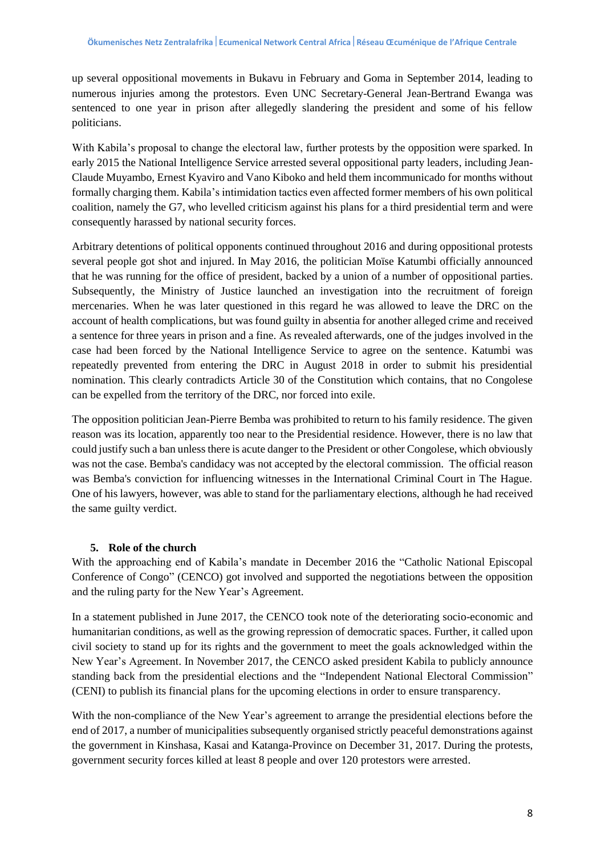up several oppositional movements in Bukavu in February and Goma in September 2014, leading to numerous injuries among the protestors. Even UNC Secretary-General Jean-Bertrand Ewanga was sentenced to one year in prison after allegedly slandering the president and some of his fellow politicians.

With Kabila's proposal to change the electoral law, further protests by the opposition were sparked. In early 2015 the National Intelligence Service arrested several oppositional party leaders, including Jean-Claude Muyambo, Ernest Kyaviro and Vano Kiboko and held them incommunicado for months without formally charging them. Kabila's intimidation tactics even affected former members of his own political coalition, namely the G7, who levelled criticism against his plans for a third presidential term and were consequently harassed by national security forces.

Arbitrary detentions of political opponents continued throughout 2016 and during oppositional protests several people got shot and injured. In May 2016, the politician Moïse Katumbi officially announced that he was running for the office of president, backed by a union of a number of oppositional parties. Subsequently, the Ministry of Justice launched an investigation into the recruitment of foreign mercenaries. When he was later questioned in this regard he was allowed to leave the DRC on the account of health complications, but was found guilty in absentia for another alleged crime and received a sentence for three years in prison and a fine. As revealed afterwards, one of the judges involved in the case had been forced by the National Intelligence Service to agree on the sentence. Katumbi was repeatedly prevented from entering the DRC in August 2018 in order to submit his presidential nomination. This clearly contradicts Article 30 of the Constitution which contains, that no Congolese can be expelled from the territory of the DRC, nor forced into exile.

The opposition politician Jean-Pierre Bemba was prohibited to return to his family residence. The given reason was its location, apparently too near to the Presidential residence. However, there is no law that could justify such a ban unless there is acute danger to the President or other Congolese, which obviously was not the case. Bemba's candidacy was not accepted by the electoral commission. The official reason was Bemba's conviction for influencing witnesses in the International Criminal Court in The Hague. One of his lawyers, however, was able to stand for the parliamentary elections, although he had received the same guilty verdict.

# **5. Role of the church**

With the approaching end of Kabila's mandate in December 2016 the "Catholic National Episcopal Conference of Congo" (CENCO) got involved and supported the negotiations between the opposition and the ruling party for the New Year's Agreement.

In a statement published in June 2017, the CENCO took note of the deteriorating socio-economic and humanitarian conditions, as well as the growing repression of democratic spaces. Further, it called upon civil society to stand up for its rights and the government to meet the goals acknowledged within the New Year's Agreement. In November 2017, the CENCO asked president Kabila to publicly announce standing back from the presidential elections and the "Independent National Electoral Commission" (CENI) to publish its financial plans for the upcoming elections in order to ensure transparency.

With the non-compliance of the New Year's agreement to arrange the presidential elections before the end of 2017, a number of municipalities subsequently organised strictly peaceful demonstrations against the government in Kinshasa, Kasai and Katanga-Province on December 31, 2017. During the protests, government security forces killed at least 8 people and over 120 protestors were arrested.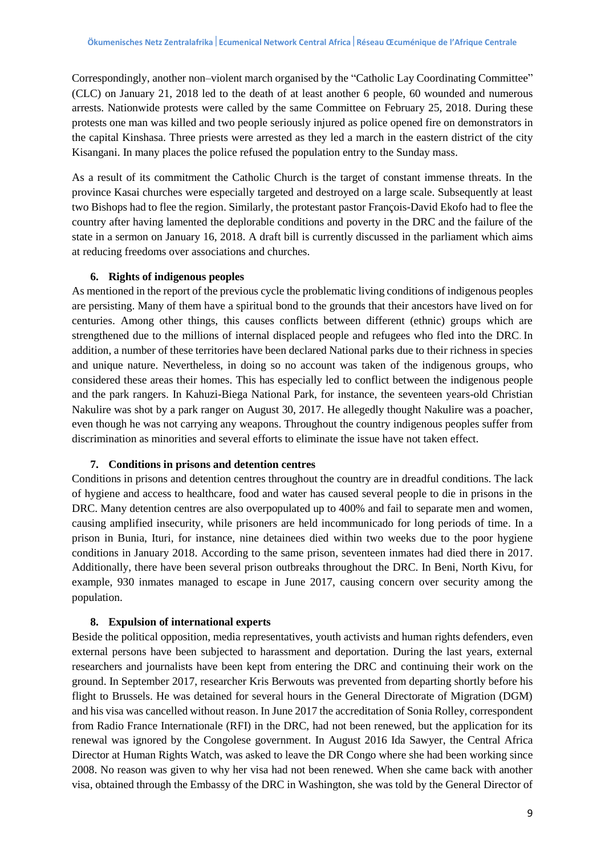Correspondingly, another non–violent march organised by the "Catholic Lay Coordinating Committee" (CLC) on January 21, 2018 led to the death of at least another 6 people, 60 wounded and numerous arrests. Nationwide protests were called by the same Committee on February 25, 2018. During these protests one man was killed and two people seriously injured as police opened fire on demonstrators in the capital Kinshasa. Three priests were arrested as they led a march in the eastern district of the city Kisangani. In many places the police refused the population entry to the Sunday mass.

As a result of its commitment the Catholic Church is the target of constant immense threats. In the province Kasai churches were especially targeted and destroyed on a large scale. Subsequently at least two Bishops had to flee the region. Similarly, the protestant pastor François-David Ekofo had to flee the country after having lamented the deplorable conditions and poverty in the DRC and the failure of the state in a sermon on January 16, 2018. A draft bill is currently discussed in the parliament which aims at reducing freedoms over associations and churches.

## **6. Rights of indigenous peoples**

As mentioned in the report of the previous cycle the problematic living conditions of indigenous peoples are persisting. Many of them have a spiritual bond to the grounds that their ancestors have lived on for centuries. Among other things, this causes conflicts between different (ethnic) groups which are strengthened due to the millions of internal displaced people and refugees who fled into the DRC. In addition, a number of these territories have been declared National parks due to their richness in species and unique nature. Nevertheless, in doing so no account was taken of the indigenous groups, who considered these areas their homes. This has especially led to conflict between the indigenous people and the park rangers. In Kahuzi-Biega National Park, for instance, the seventeen years-old Christian Nakulire was shot by a park ranger on August 30, 2017. He allegedly thought Nakulire was a poacher, even though he was not carrying any weapons. Throughout the country indigenous peoples suffer from discrimination as minorities and several efforts to eliminate the issue have not taken effect.

### **7. Conditions in prisons and detention centres**

Conditions in prisons and detention centres throughout the country are in dreadful conditions. The lack of hygiene and access to healthcare, food and water has caused several people to die in prisons in the DRC. Many detention centres are also overpopulated up to 400% and fail to separate men and women, causing amplified insecurity, while prisoners are held incommunicado for long periods of time. In a prison in Bunia, Ituri, for instance, nine detainees died within two weeks due to the poor hygiene conditions in January 2018. According to the same prison, seventeen inmates had died there in 2017. Additionally, there have been several prison outbreaks throughout the DRC. In Beni, North Kivu, for example, 930 inmates managed to escape in June 2017, causing concern over security among the population.

### **8. Expulsion of international experts**

Beside the political opposition, media representatives, youth activists and human rights defenders, even external persons have been subjected to harassment and deportation. During the last years, external researchers and journalists have been kept from entering the DRC and continuing their work on the ground. In September 2017, researcher Kris Berwouts was prevented from departing shortly before his flight to Brussels. He was detained for several hours in the General Directorate of Migration (DGM) and his visa was cancelled without reason. In June 2017 the accreditation of Sonia Rolley, correspondent from Radio France Internationale (RFI) in the DRC, had not been renewed, but the application for its renewal was ignored by the Congolese government. In August 2016 Ida Sawyer, the Central Africa Director at Human Rights Watch, was asked to leave the DR Congo where she had been working since 2008. No reason was given to why her visa had not been renewed. When she came back with another visa, obtained through the Embassy of the DRC in Washington, she was told by the General Director of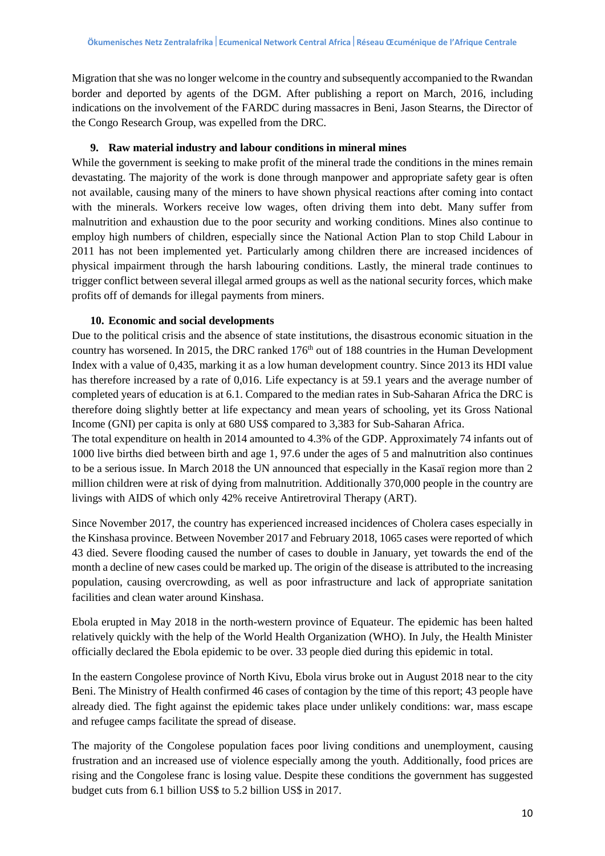Migration that she was no longer welcome in the country and subsequently accompanied to the Rwandan border and deported by agents of the DGM. After publishing a report on March, 2016, including indications on the involvement of the FARDC during massacres in Beni, Jason Stearns, the Director of the Congo Research Group, was expelled from the DRC.

## **9. Raw material industry and labour conditions in mineral mines**

While the government is seeking to make profit of the mineral trade the conditions in the mines remain devastating. The majority of the work is done through manpower and appropriate safety gear is often not available, causing many of the miners to have shown physical reactions after coming into contact with the minerals. Workers receive low wages, often driving them into debt. Many suffer from malnutrition and exhaustion due to the poor security and working conditions. Mines also continue to employ high numbers of children, especially since the National Action Plan to stop Child Labour in 2011 has not been implemented yet. Particularly among children there are increased incidences of physical impairment through the harsh labouring conditions. Lastly, the mineral trade continues to trigger conflict between several illegal armed groups as well as the national security forces, which make profits off of demands for illegal payments from miners.

### **10. Economic and social developments**

Due to the political crisis and the absence of state institutions, the disastrous economic situation in the country has worsened. In 2015, the DRC ranked 176<sup>th</sup> out of 188 countries in the Human Development Index with a value of 0,435, marking it as a low human development country. Since 2013 its HDI value has therefore increased by a rate of 0,016. Life expectancy is at 59.1 years and the average number of completed years of education is at 6.1. Compared to the median rates in Sub-Saharan Africa the DRC is therefore doing slightly better at life expectancy and mean years of schooling, yet its Gross National Income (GNI) per capita is only at 680 US\$ compared to 3,383 for Sub-Saharan Africa.

The total expenditure on health in 2014 amounted to 4.3% of the GDP. Approximately 74 infants out of 1000 live births died between birth and age 1, 97.6 under the ages of 5 and malnutrition also continues to be a serious issue. In March 2018 the UN announced that especially in the Kasaï region more than 2 million children were at risk of dying from malnutrition. Additionally 370,000 people in the country are livings with AIDS of which only 42% receive Antiretroviral Therapy (ART).

Since November 2017, the country has experienced increased incidences of Cholera cases especially in the Kinshasa province. Between November 2017 and February 2018, 1065 cases were reported of which 43 died. Severe flooding caused the number of cases to double in January, yet towards the end of the month a decline of new cases could be marked up. The origin of the disease is attributed to the increasing population, causing overcrowding, as well as poor infrastructure and lack of appropriate sanitation facilities and clean water around Kinshasa.

Ebola erupted in May 2018 in the north-western province of Equateur. The epidemic has been halted relatively quickly with the help of the World Health Organization (WHO). In July, the Health Minister officially declared the Ebola epidemic to be over. 33 people died during this epidemic in total.

In the eastern Congolese province of North Kivu, Ebola virus broke out in August 2018 near to the city Beni. The Ministry of Health confirmed 46 cases of contagion by the time of this report; 43 people have already died. The fight against the epidemic takes place under unlikely conditions: war, mass escape and refugee camps facilitate the spread of disease.

The majority of the Congolese population faces poor living conditions and unemployment, causing frustration and an increased use of violence especially among the youth. Additionally, food prices are rising and the Congolese franc is losing value. Despite these conditions the government has suggested budget cuts from 6.1 billion US\$ to 5.2 billion US\$ in 2017.